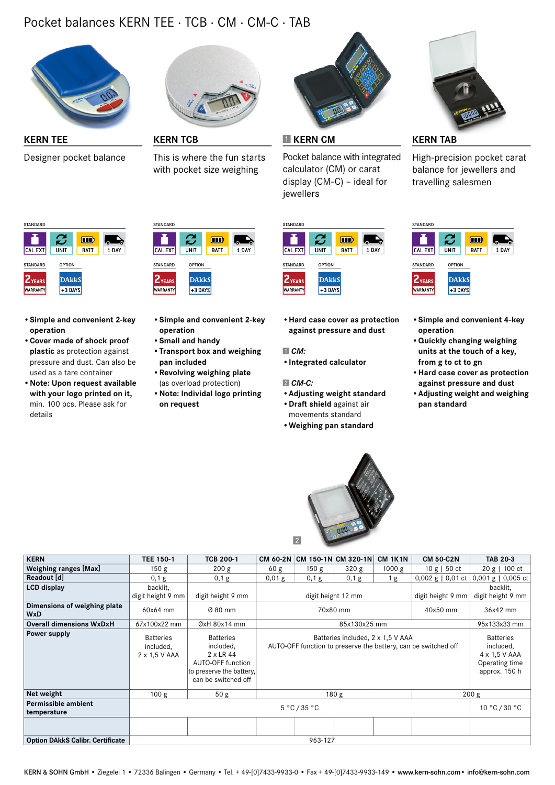## Pocket balances KERN TEE · TCB · CM · CM-C · TAB



Designer pocket balance



This is where the fun starts with pocket size weighing



**KERN TEE KERN TCB KERN CM KERN TAB**

Pocket balance with integrated calculator (CM) or carat display (CM-C) – ideal for jewellers



High-precision pocket carat balance for jewellers and travelling salesmen



- • **Simple and convenient 2-key operation**
- • **Cover made of shock proof plastic** as protection against pressure and dust. Can also be used as a tare container
- • **Note: Upon request available with your logo printed on it,** min. 100 pcs. Please ask for details



- • **Simple and convenient 2-key operation**
- • **Small and handy**
- • **Transport box and weighing pan included**
- • **Revolving weighing plate** (as overload protection)
- • **Note: Individal logo printing on request**



• **Hard case cover as protection against pressure and dust**

 *CM:*

• **Integrated calculator**

#### *CM-C:*

- • **Adjusting weight standard**
- • **Dra shield** against air movements standard
- • **Weighing pan standard**



| <b>STANDARD</b> |                            |             |       |
|-----------------|----------------------------|-------------|-------|
|                 | $\boldsymbol{\mathcal{C}}$ | m           |       |
| CAL EXT         | UNIT                       | <b>BATT</b> | 1 DAY |
| <b>STANDARD</b> | <b>OPTION</b>              |             |       |
| <b>ZYEARS</b>   | <b>DAkkS</b>               |             |       |
| <b>WARRANTY</b> | +3 DAYS                    |             |       |

- • **Simple and convenient 4-key operation**
- • **Quickly changing weighing units at the touch of a key, from g to ct to gn**
- • **Hard case cover as protection against pressure and dust**
- • **Adjusting weight and weighing pan standard**

| <b>KERN</b><br>CM 150-1N CM 320-1N<br><b>CM 1K1N</b><br><b>TEE 150-1</b><br><b>TCB 200-1</b><br><b>CM 60-2N</b><br><b>CM 50-C2N</b><br><b>TAB 20-3</b><br>Weighing ranges [Max]<br>1000 g<br>150 <sub>g</sub><br>60 <sub>g</sub><br>150 <sub>g</sub><br>320 g<br>$10 g$   50 ct<br>$20 g$   100 ct<br>200 g<br>Readout [d]<br>$0,001 g$   0,005 cf<br>$0,01$ g<br>0,1 g<br>$0,002$ g   0,01 ct<br>0,1 g<br>0,1 g<br>0,1 g<br>1 g<br><b>LCD display</b><br>backlit,<br>backlit, |  |
|--------------------------------------------------------------------------------------------------------------------------------------------------------------------------------------------------------------------------------------------------------------------------------------------------------------------------------------------------------------------------------------------------------------------------------------------------------------------------------|--|
|                                                                                                                                                                                                                                                                                                                                                                                                                                                                                |  |
|                                                                                                                                                                                                                                                                                                                                                                                                                                                                                |  |
|                                                                                                                                                                                                                                                                                                                                                                                                                                                                                |  |
|                                                                                                                                                                                                                                                                                                                                                                                                                                                                                |  |
| digit height 9 mm<br>digit height 9 mm<br>digit height 9 mm<br>digit height 9 mm<br>digit height 12 mm                                                                                                                                                                                                                                                                                                                                                                         |  |
| Dimensions of weighing plate<br>$Ø$ 80 mm<br>70x80 mm<br>40x50 mm<br>36x42 mm<br>60x64 mm<br><b>WxD</b>                                                                                                                                                                                                                                                                                                                                                                        |  |
| <b>Overall dimensions WxDxH</b><br>67x100x22 mm<br>$\emptyset$ xH 80x14 mm<br>85x130x25 mm<br>95x133x33 mm                                                                                                                                                                                                                                                                                                                                                                     |  |
| Power supply<br><b>Batteries</b><br><b>Batteries</b><br>Batteries included, 2 x 1,5 V AAA<br><b>Batteries</b><br>AUTO-OFF function to preserve the battery, can be switched off<br>included,<br>included,<br>included,<br>4 x 1,5 V AAA<br>2 x LR 44<br>2 x 1,5 V AAA<br>Operating time<br>AUTO-OFF function<br>approx. 150 h<br>to preserve the battery,<br>can be switched off                                                                                               |  |
| Net weight<br>50 g<br>180 <sub>g</sub><br>100 g<br>200 g                                                                                                                                                                                                                                                                                                                                                                                                                       |  |
| Permissible ambient<br>$5^{\circ}$ C/35 $^{\circ}$ C<br>10 °C / 30 °C<br>temperature                                                                                                                                                                                                                                                                                                                                                                                           |  |
|                                                                                                                                                                                                                                                                                                                                                                                                                                                                                |  |
| <b>Option DAkkS Calibr. Certificate</b><br>963-127                                                                                                                                                                                                                                                                                                                                                                                                                             |  |